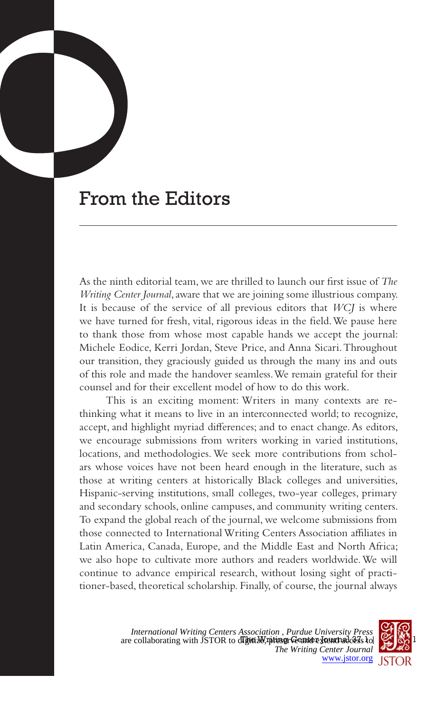## From the Editors

As the ninth editorial team, we are thrilled to launch our first issue of *The Writing Center Journal*, aware that we are joining some illustrious company. It is because of the service of all previous editors that *WCJ* is where we have turned for fresh, vital, rigorous ideas in the field. We pause here to thank those from whose most capable hands we accept the journal: Michele Eodice, Kerri Jordan, Steve Price, and Anna Sicari. Throughout our transition, they graciously guided us through the many ins and outs of this role and made the handover seamless. We remain grateful for their counsel and for their excellent model of how to do this work.

This is an exciting moment: Writers in many contexts are rethinking what it means to live in an interconnected world; to recognize, accept, and highlight myriad differences; and to enact change. As editors, we encourage submissions from writers working in varied institutions, locations, and methodologies. We seek more contributions from scholars whose voices have not been heard enough in the literature, such as those at writing centers at historically Black colleges and universities, Hispanic-serving institutions, small colleges, two-year colleges, primary and secondary schools, online campuses, and community writing centers. To expand the global reach of the journal, we welcome submissions from those connected to International Writing Centers Association affiliates in Latin America, Canada, Europe, and the Middle East and North Africa; we also hope to cultivate more authors and readers worldwide. We will continue to advance empirical research, without losing sight of practitioner-based, theoretical scholarship. Finally, of course, the journal always

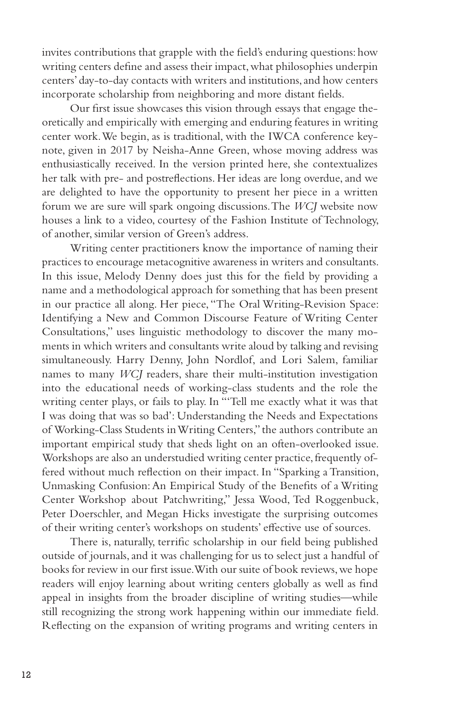invites contributions that grapple with the field's enduring questions: how writing centers define and assess their impact, what philosophies underpin centers' day-to-day contacts with writers and institutions, and how centers incorporate scholarship from neighboring and more distant fields.

Our first issue showcases this vision through essays that engage theoretically and empirically with emerging and enduring features in writing center work. We begin, as is traditional, with the IWCA conference keynote, given in 2017 by Neisha-Anne Green, whose moving address was enthusiastically received. In the version printed here, she contextualizes her talk with pre- and postreflections. Her ideas are long overdue, and we are delighted to have the opportunity to present her piece in a written forum we are sure will spark ongoing discussions. The *WCJ* website now houses a link to a video, courtesy of the Fashion Institute of Technology, of another, similar version of Green's address.

Writing center practitioners know the importance of naming their practices to encourage metacognitive awareness in writers and consultants. In this issue, Melody Denny does just this for the field by providing a name and a methodological approach for something that has been present in our practice all along. Her piece, "The Oral Writing-Revision Space: Identifying a New and Common Discourse Feature of Writing Center Consultations," uses linguistic methodology to discover the many moments in which writers and consultants write aloud by talking and revising simultaneously. Harry Denny, John Nordlof, and Lori Salem, familiar names to many *WCJ* readers, share their multi-institution investigation into the educational needs of working-class students and the role the writing center plays, or fails to play. In "'Tell me exactly what it was that I was doing that was so bad': Understanding the Needs and Expectations of Working-Class Students in Writing Centers," the authors contribute an important empirical study that sheds light on an often-overlooked issue. Workshops are also an understudied writing center practice, frequently offered without much reflection on their impact. In "Sparking a Transition, Unmasking Confusion: An Empirical Study of the Benefits of a Writing Center Workshop about Patchwriting," Jessa Wood, Ted Roggenbuck, Peter Doerschler, and Megan Hicks investigate the surprising outcomes of their writing center's workshops on students' effective use of sources.

There is, naturally, terrific scholarship in our field being published outside of journals, and it was challenging for us to select just a handful of books for review in our first issue. With our suite of book reviews, we hope readers will enjoy learning about writing centers globally as well as find appeal in insights from the broader discipline of writing studies—while still recognizing the strong work happening within our immediate field. Reflecting on the expansion of writing programs and writing centers in